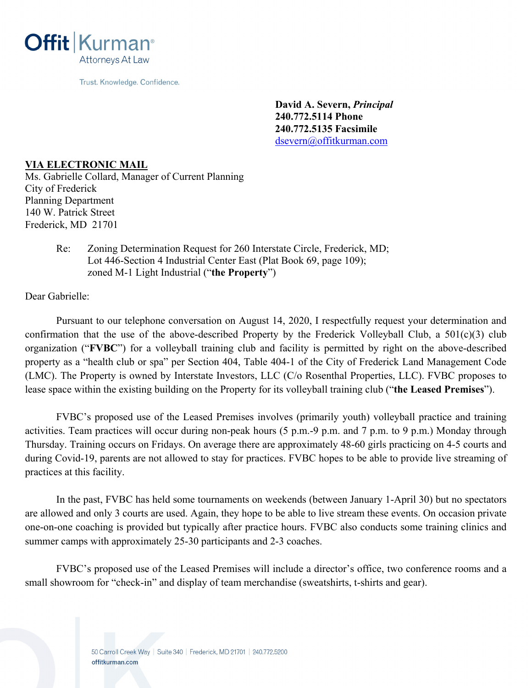

Trust. Knowledge. Confidence.

**David A. Severn,** *Principal* **240.772.5114 Phone 240.772.5135 Facsimile**  dsevern@offitkurman.com

## **VIA ELECTRONIC MAIL**

Ms. Gabrielle Collard, Manager of Current Planning City of Frederick Planning Department 140 W. Patrick Street Frederick, MD 21701

> Re: Zoning Determination Request for 260 Interstate Circle, Frederick, MD; Lot 446-Section 4 Industrial Center East (Plat Book 69, page 109); zoned M-1 Light Industrial ("**the Property**")

Dear Gabrielle:

 Pursuant to our telephone conversation on August 14, 2020, I respectfully request your determination and confirmation that the use of the above-described Property by the Frederick Volleyball Club, a 501(c)(3) club organization ("**FVBC**") for a volleyball training club and facility is permitted by right on the above-described property as a "health club or spa" per Section 404, Table 404-1 of the City of Frederick Land Management Code (LMC). The Property is owned by Interstate Investors, LLC (C/o Rosenthal Properties, LLC). FVBC proposes to lease space within the existing building on the Property for its volleyball training club ("**the Leased Premises**").

 FVBC's proposed use of the Leased Premises involves (primarily youth) volleyball practice and training activities. Team practices will occur during non-peak hours (5 p.m.-9 p.m. and 7 p.m. to 9 p.m.) Monday through Thursday. Training occurs on Fridays. On average there are approximately 48-60 girls practicing on 4-5 courts and during Covid-19, parents are not allowed to stay for practices. FVBC hopes to be able to provide live streaming of practices at this facility.

 In the past, FVBC has held some tournaments on weekends (between January 1-April 30) but no spectators are allowed and only 3 courts are used. Again, they hope to be able to live stream these events. On occasion private one-on-one coaching is provided but typically after practice hours. FVBC also conducts some training clinics and summer camps with approximately 25-30 participants and 2-3 coaches.

 FVBC's proposed use of the Leased Premises will include a director's office, two conference rooms and a small showroom for "check-in" and display of team merchandise (sweatshirts, t-shirts and gear).